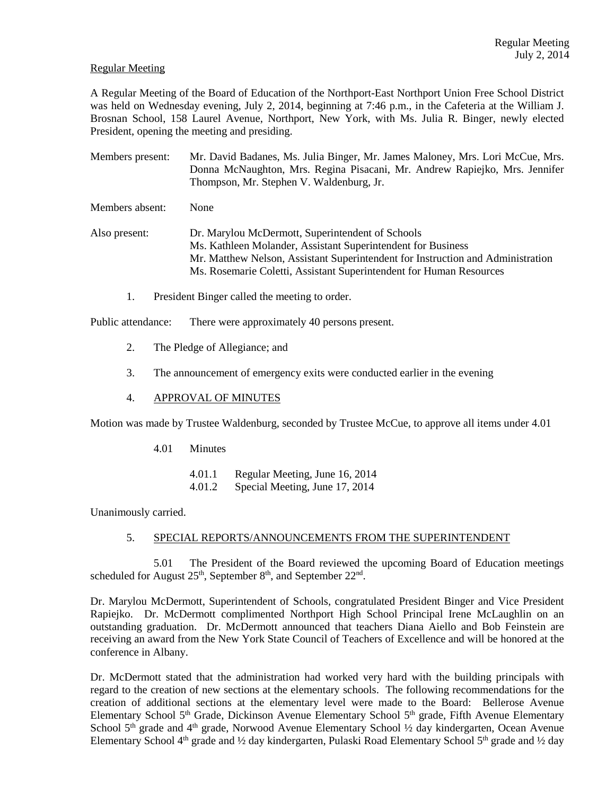# Regular Meeting

A Regular Meeting of the Board of Education of the Northport-East Northport Union Free School District was held on Wednesday evening, July 2, 2014, beginning at 7:46 p.m., in the Cafeteria at the William J. Brosnan School, 158 Laurel Avenue, Northport, New York, with Ms. Julia R. Binger, newly elected President, opening the meeting and presiding.

Members present: Mr. David Badanes, Ms. Julia Binger, Mr. James Maloney, Mrs. Lori McCue, Mrs. Donna McNaughton, Mrs. Regina Pisacani, Mr. Andrew Rapiejko, Mrs. Jennifer Thompson, Mr. Stephen V. Waldenburg, Jr.

Members absent: None

Also present: Dr. Marylou McDermott, Superintendent of Schools Ms. Kathleen Molander, Assistant Superintendent for Business Mr. Matthew Nelson, Assistant Superintendent for Instruction and Administration Ms. Rosemarie Coletti, Assistant Superintendent for Human Resources

1. President Binger called the meeting to order.

Public attendance: There were approximately 40 persons present.

- 2. The Pledge of Allegiance; and
- 3. The announcement of emergency exits were conducted earlier in the evening

# 4. APPROVAL OF MINUTES

Motion was made by Trustee Waldenburg, seconded by Trustee McCue, to approve all items under 4.01

4.01 Minutes

4.01.1 Regular Meeting, June 16, 2014 4.01.2 Special Meeting, June 17, 2014

Unanimously carried.

# 5. SPECIAL REPORTS/ANNOUNCEMENTS FROM THE SUPERINTENDENT

 5.01 The President of the Board reviewed the upcoming Board of Education meetings scheduled for August  $25<sup>th</sup>$ , September  $8<sup>th</sup>$ , and September  $22<sup>nd</sup>$ .

Dr. Marylou McDermott, Superintendent of Schools, congratulated President Binger and Vice President Rapiejko. Dr. McDermott complimented Northport High School Principal Irene McLaughlin on an outstanding graduation. Dr. McDermott announced that teachers Diana Aiello and Bob Feinstein are receiving an award from the New York State Council of Teachers of Excellence and will be honored at the conference in Albany.

Dr. McDermott stated that the administration had worked very hard with the building principals with regard to the creation of new sections at the elementary schools. The following recommendations for the creation of additional sections at the elementary level were made to the Board: Bellerose Avenue Elementary School 5<sup>th</sup> Grade, Dickinson Avenue Elementary School 5<sup>th</sup> grade, Fifth Avenue Elementary School  $5<sup>th</sup>$  grade and  $4<sup>th</sup>$  grade, Norwood Avenue Elementary School  $\frac{1}{2}$  day kindergarten, Ocean Avenue Elementary School 4<sup>th</sup> grade and ½ day kindergarten, Pulaski Road Elementary School 5<sup>th</sup> grade and ½ day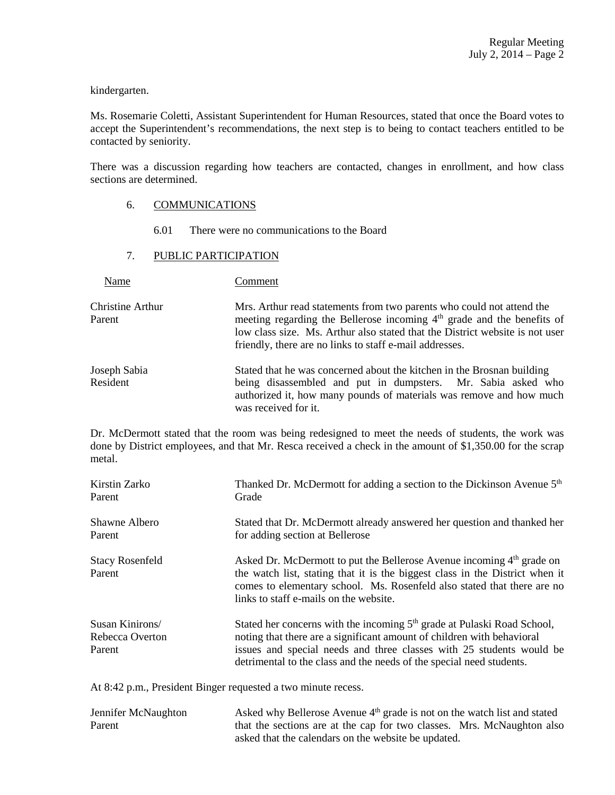kindergarten.

Ms. Rosemarie Coletti, Assistant Superintendent for Human Resources, stated that once the Board votes to accept the Superintendent's recommendations, the next step is to being to contact teachers entitled to be contacted by seniority.

There was a discussion regarding how teachers are contacted, changes in enrollment, and how class sections are determined.

# 6. COMMUNICATIONS

6.01 There were no communications to the Board

# 7. PUBLIC PARTICIPATION

Name Comment

Christine Arthur Mrs. Arthur read statements from two parents who could not attend the Parent meeting regarding the Bellerose incoming 4<sup>th</sup> grade and the benefits of low class size. Ms. Arthur also stated that the District website is not user friendly, there are no links to staff e-mail addresses.

Joseph Sabia Stated that he was concerned about the kitchen in the Brosnan building Resident being disassembled and put in dumpsters. Mr. Sabia asked who authorized it, how many pounds of materials was remove and how much was received for it.

Dr. McDermott stated that the room was being redesigned to meet the needs of students, the work was done by District employees, and that Mr. Resca received a check in the amount of \$1,350.00 for the scrap metal.

| Kirstin Zarko                                | Thanked Dr. McDermott for adding a section to the Dickinson Avenue 5 <sup>th</sup>                                                                                                                                                                                                                            |
|----------------------------------------------|---------------------------------------------------------------------------------------------------------------------------------------------------------------------------------------------------------------------------------------------------------------------------------------------------------------|
| Parent                                       | Grade                                                                                                                                                                                                                                                                                                         |
| Shawne Albero                                | Stated that Dr. McDermott already answered her question and thanked her                                                                                                                                                                                                                                       |
| Parent                                       | for adding section at Bellerose                                                                                                                                                                                                                                                                               |
| <b>Stacy Rosenfeld</b><br>Parent             | Asked Dr. McDermott to put the Bellerose Avenue incoming 4 <sup>th</sup> grade on<br>the watch list, stating that it is the biggest class in the District when it<br>comes to elementary school. Ms. Rosenfeld also stated that there are no<br>links to staff e-mails on the website.                        |
| Susan Kinirons/<br>Rebecca Overton<br>Parent | Stated her concerns with the incoming 5 <sup>th</sup> grade at Pulaski Road School,<br>noting that there are a significant amount of children with behavioral<br>issues and special needs and three classes with 25 students would be<br>detrimental to the class and the needs of the special need students. |

At 8:42 p.m., President Binger requested a two minute recess.

| Jennifer McNaughton | Asked why Bellerose Avenue 4 <sup>th</sup> grade is not on the watch list and stated |
|---------------------|--------------------------------------------------------------------------------------|
| Parent              | that the sections are at the cap for two classes. Mrs. McNaughton also               |
|                     | asked that the calendars on the website be updated.                                  |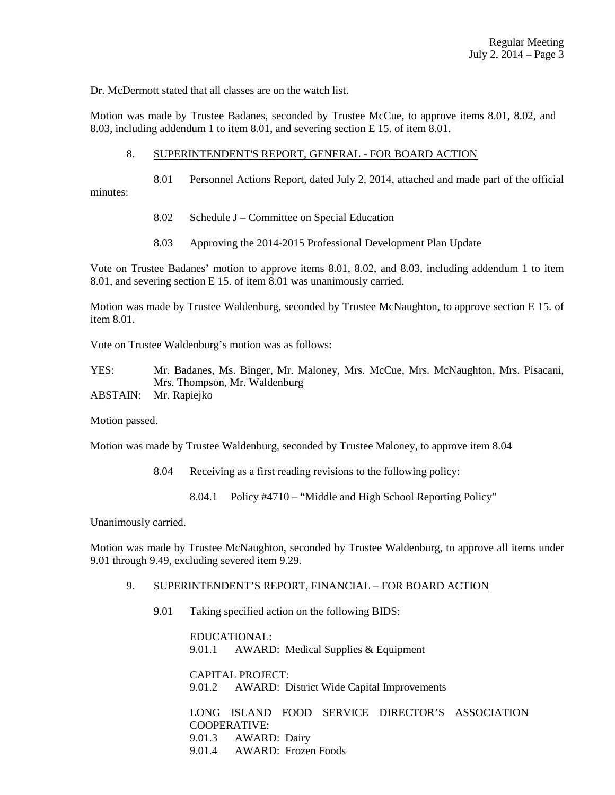Dr. McDermott stated that all classes are on the watch list.

Motion was made by Trustee Badanes, seconded by Trustee McCue, to approve items 8.01, 8.02, and 8.03, including addendum 1 to item 8.01, and severing section E 15. of item 8.01.

# 8. SUPERINTENDENT'S REPORT, GENERAL - FOR BOARD ACTION

 8.01 Personnel Actions Report, dated July 2, 2014, attached and made part of the official minutes:

- 8.02 Schedule J Committee on Special Education
- 8.03 Approving the 2014-2015 Professional Development Plan Update

Vote on Trustee Badanes' motion to approve items 8.01, 8.02, and 8.03, including addendum 1 to item 8.01, and severing section E 15. of item 8.01 was unanimously carried.

Motion was made by Trustee Waldenburg, seconded by Trustee McNaughton, to approve section E 15. of item 8.01.

Vote on Trustee Waldenburg's motion was as follows:

YES: Mr. Badanes, Ms. Binger, Mr. Maloney, Mrs. McCue, Mrs. McNaughton, Mrs. Pisacani, Mrs. Thompson, Mr. Waldenburg

ABSTAIN: Mr. Rapiejko

Motion passed.

Motion was made by Trustee Waldenburg, seconded by Trustee Maloney, to approve item 8.04

8.04 Receiving as a first reading revisions to the following policy:

8.04.1 Policy #4710 – "Middle and High School Reporting Policy"

Unanimously carried.

Motion was made by Trustee McNaughton, seconded by Trustee Waldenburg, to approve all items under 9.01 through 9.49, excluding severed item 9.29.

### 9. SUPERINTENDENT'S REPORT, FINANCIAL – FOR BOARD ACTION

9.01 Taking specified action on the following BIDS:

 EDUCATIONAL: 9.01.1 AWARD: Medical Supplies & Equipment

 CAPITAL PROJECT: 9.01.2 AWARD: District Wide Capital Improvements

 LONG ISLAND FOOD SERVICE DIRECTOR'S ASSOCIATION COOPERATIVE: 9.01.3 AWARD: Dairy 9.01.4 AWARD: Frozen Foods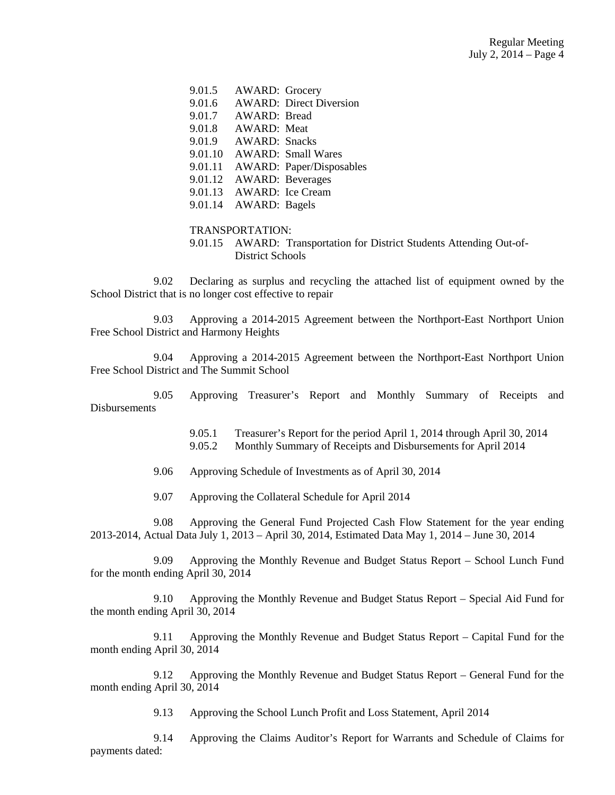|  | 9.01.5 AWARD: Grocery    |                                  |
|--|--------------------------|----------------------------------|
|  |                          | 9.01.6 AWARD: Direct Diversion   |
|  | 9.01.7 AWARD: Bread      |                                  |
|  | 9.01.8 AWARD: Meat       |                                  |
|  | 9.01.9 AWARD: Snacks     |                                  |
|  |                          | 9.01.10 AWARD: Small Wares       |
|  |                          | 9.01.11 AWARD: Paper/Disposables |
|  |                          | 9.01.12 AWARD: Beverages         |
|  | 9.01.13 AWARD: Ice Cream |                                  |
|  | 9.01.14 AWARD: Bagels    |                                  |

#### TRANSPORTATION:

 9.01.15 AWARD: Transportation for District Students Attending Out-of-District Schools

 9.02 Declaring as surplus and recycling the attached list of equipment owned by the School District that is no longer cost effective to repair

 9.03 Approving a 2014-2015 Agreement between the Northport-East Northport Union Free School District and Harmony Heights

 9.04 Approving a 2014-2015 Agreement between the Northport-East Northport Union Free School District and The Summit School

 9.05 Approving Treasurer's Report and Monthly Summary of Receipts and **Disbursements** 

> 9.05.1 Treasurer's Report for the period April 1, 2014 through April 30, 2014 9.05.2 Monthly Summary of Receipts and Disbursements for April 2014

9.06 Approving Schedule of Investments as of April 30, 2014

9.07 Approving the Collateral Schedule for April 2014

 9.08 Approving the General Fund Projected Cash Flow Statement for the year ending 2013-2014, Actual Data July 1, 2013 – April 30, 2014, Estimated Data May 1, 2014 – June 30, 2014

 9.09 Approving the Monthly Revenue and Budget Status Report – School Lunch Fund for the month ending April 30, 2014

 9.10 Approving the Monthly Revenue and Budget Status Report – Special Aid Fund for the month ending April 30, 2014

 9.11 Approving the Monthly Revenue and Budget Status Report – Capital Fund for the month ending April 30, 2014

 9.12 Approving the Monthly Revenue and Budget Status Report – General Fund for the month ending April 30, 2014

9.13 Approving the School Lunch Profit and Loss Statement, April 2014

 9.14 Approving the Claims Auditor's Report for Warrants and Schedule of Claims for payments dated: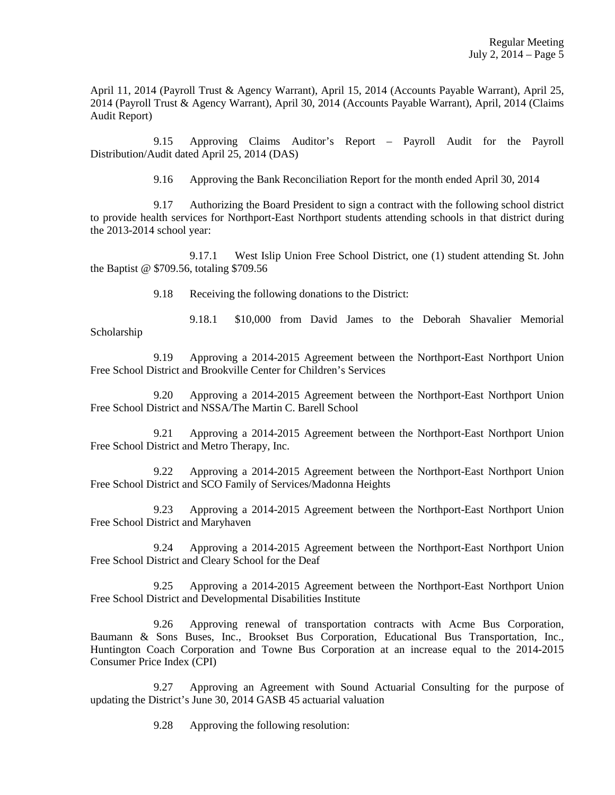April 11, 2014 (Payroll Trust & Agency Warrant), April 15, 2014 (Accounts Payable Warrant), April 25, 2014 (Payroll Trust & Agency Warrant), April 30, 2014 (Accounts Payable Warrant), April, 2014 (Claims Audit Report)

 9.15 Approving Claims Auditor's Report – Payroll Audit for the Payroll Distribution/Audit dated April 25, 2014 (DAS)

9.16 Approving the Bank Reconciliation Report for the month ended April 30, 2014

 9.17 Authorizing the Board President to sign a contract with the following school district to provide health services for Northport-East Northport students attending schools in that district during the 2013-2014 school year:

 9.17.1 West Islip Union Free School District, one (1) student attending St. John the Baptist @ \$709.56, totaling \$709.56

9.18 Receiving the following donations to the District:

 9.18.1 \$10,000 from David James to the Deborah Shavalier Memorial Scholarship

 9.19 Approving a 2014-2015 Agreement between the Northport-East Northport Union Free School District and Brookville Center for Children's Services

 9.20 Approving a 2014-2015 Agreement between the Northport-East Northport Union Free School District and NSSA/The Martin C. Barell School

 9.21 Approving a 2014-2015 Agreement between the Northport-East Northport Union Free School District and Metro Therapy, Inc.

 9.22 Approving a 2014-2015 Agreement between the Northport-East Northport Union Free School District and SCO Family of Services/Madonna Heights

 9.23 Approving a 2014-2015 Agreement between the Northport-East Northport Union Free School District and Maryhaven

 9.24 Approving a 2014-2015 Agreement between the Northport-East Northport Union Free School District and Cleary School for the Deaf

 9.25 Approving a 2014-2015 Agreement between the Northport-East Northport Union Free School District and Developmental Disabilities Institute

 9.26 Approving renewal of transportation contracts with Acme Bus Corporation, Baumann & Sons Buses, Inc., Brookset Bus Corporation, Educational Bus Transportation, Inc., Huntington Coach Corporation and Towne Bus Corporation at an increase equal to the 2014-2015 Consumer Price Index (CPI)

 9.27 Approving an Agreement with Sound Actuarial Consulting for the purpose of updating the District's June 30, 2014 GASB 45 actuarial valuation

9.28 Approving the following resolution: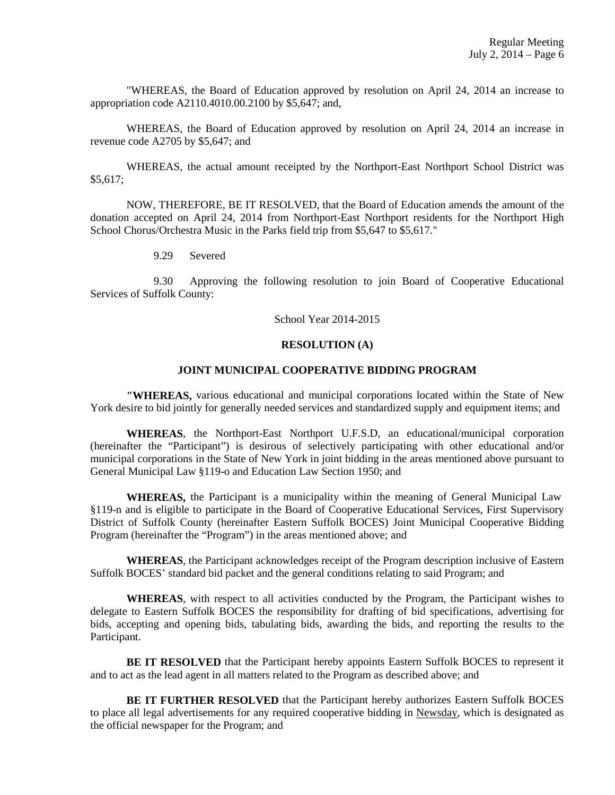"WHEREAS, the Board of Education approved by resolution on April 24, 2014 an increase to appropriation code A2110.4010.00.2100 by \$5,647; and,

WHEREAS, the Board of Education approved by resolution on April 24, 2014 an increase in revenue code A2705 by \$5,647; and

WHEREAS, the actual amount receipted by the Northport-East Northport School District was \$5,617;

NOW, THEREFORE, BE IT RESOLVED, that the Board of Education amends the amount of the donation accepted on April 24, 2014 from Northport-East Northport residents for the Northport High School Chorus/Orchestra Music in the Parks field trip from \$5,647 to \$5,617."

9.29 Severed

 9.30 Approving the following resolution to join Board of Cooperative Educational Services of Suffolk County:

School Year 2014-2015

#### **RESOLUTION (A)**

# **JOINT MUNICIPAL COOPERATIVE BIDDING PROGRAM**

 **"WHEREAS,** various educational and municipal corporations located within the State of New York desire to bid jointly for generally needed services and standardized supply and equipment items; and

 **WHEREAS**, the Northport-East Northport U.F.S.D, an educational/municipal corporation (hereinafter the "Participant") is desirous of selectively participating with other educational and/or municipal corporations in the State of New York in joint bidding in the areas mentioned above pursuant to General Municipal Law §119-o and Education Law Section 1950; and

 **WHEREAS,** the Participant is a municipality within the meaning of General Municipal Law §119-n and is eligible to participate in the Board of Cooperative Educational Services, First Supervisory District of Suffolk County (hereinafter Eastern Suffolk BOCES) Joint Municipal Cooperative Bidding Program (hereinafter the "Program") in the areas mentioned above; and

 **WHEREAS**, the Participant acknowledges receipt of the Program description inclusive of Eastern Suffolk BOCES' standard bid packet and the general conditions relating to said Program; and

 **WHEREAS**, with respect to all activities conducted by the Program, the Participant wishes to delegate to Eastern Suffolk BOCES the responsibility for drafting of bid specifications, advertising for bids, accepting and opening bids, tabulating bids, awarding the bids, and reporting the results to the Participant.

**BE IT RESOLVED** that the Participant hereby appoints Eastern Suffolk BOCES to represent it and to act as the lead agent in all matters related to the Program as described above; and

 **BE IT FURTHER RESOLVED** that the Participant hereby authorizes Eastern Suffolk BOCES to place all legal advertisements for any required cooperative bidding in Newsday, which is designated as the official newspaper for the Program; and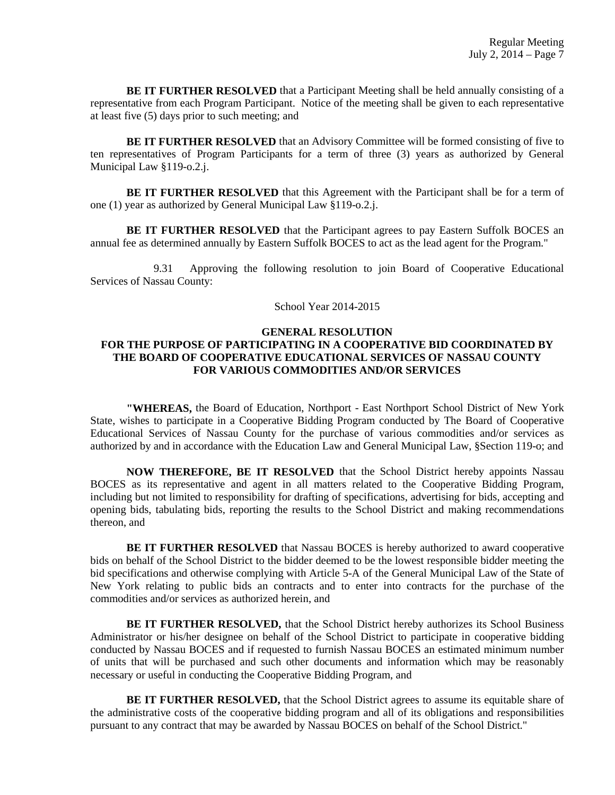**BE IT FURTHER RESOLVED** that a Participant Meeting shall be held annually consisting of a representative from each Program Participant. Notice of the meeting shall be given to each representative at least five (5) days prior to such meeting; and

 **BE IT FURTHER RESOLVED** that an Advisory Committee will be formed consisting of five to ten representatives of Program Participants for a term of three (3) years as authorized by General Municipal Law §119-o.2.j.

 **BE IT FURTHER RESOLVED** that this Agreement with the Participant shall be for a term of one (1) year as authorized by General Municipal Law §119-o.2.j.

 **BE IT FURTHER RESOLVED** that the Participant agrees to pay Eastern Suffolk BOCES an annual fee as determined annually by Eastern Suffolk BOCES to act as the lead agent for the Program."

 9.31 Approving the following resolution to join Board of Cooperative Educational Services of Nassau County:

#### School Year 2014-2015

# **GENERAL RESOLUTION**

# **FOR THE PURPOSE OF PARTICIPATING IN A COOPERATIVE BID COORDINATED BY THE BOARD OF COOPERATIVE EDUCATIONAL SERVICES OF NASSAU COUNTY FOR VARIOUS COMMODITIES AND/OR SERVICES**

 **"WHEREAS,** the Board of Education, Northport - East Northport School District of New York State, wishes to participate in a Cooperative Bidding Program conducted by The Board of Cooperative Educational Services of Nassau County for the purchase of various commodities and/or services as authorized by and in accordance with the Education Law and General Municipal Law, §Section 119-o; and

 **NOW THEREFORE, BE IT RESOLVED** that the School District hereby appoints Nassau BOCES as its representative and agent in all matters related to the Cooperative Bidding Program, including but not limited to responsibility for drafting of specifications, advertising for bids, accepting and opening bids, tabulating bids, reporting the results to the School District and making recommendations thereon, and

**BE IT FURTHER RESOLVED** that Nassau BOCES is hereby authorized to award cooperative bids on behalf of the School District to the bidder deemed to be the lowest responsible bidder meeting the bid specifications and otherwise complying with Article 5-A of the General Municipal Law of the State of New York relating to public bids an contracts and to enter into contracts for the purchase of the commodities and/or services as authorized herein, and

 **BE IT FURTHER RESOLVED,** that the School District hereby authorizes its School Business Administrator or his/her designee on behalf of the School District to participate in cooperative bidding conducted by Nassau BOCES and if requested to furnish Nassau BOCES an estimated minimum number of units that will be purchased and such other documents and information which may be reasonably necessary or useful in conducting the Cooperative Bidding Program, and

 **BE IT FURTHER RESOLVED,** that the School District agrees to assume its equitable share of the administrative costs of the cooperative bidding program and all of its obligations and responsibilities pursuant to any contract that may be awarded by Nassau BOCES on behalf of the School District."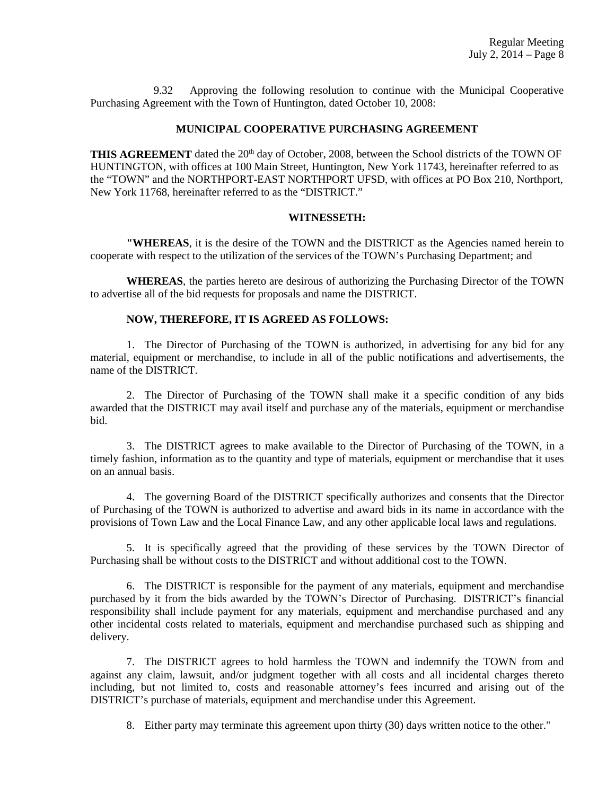9.32 Approving the following resolution to continue with the Municipal Cooperative Purchasing Agreement with the Town of Huntington, dated October 10, 2008:

# **MUNICIPAL COOPERATIVE PURCHASING AGREEMENT**

THIS AGREEMENT dated the 20<sup>th</sup> day of October, 2008, between the School districts of the TOWN OF HUNTINGTON, with offices at 100 Main Street, Huntington, New York 11743, hereinafter referred to as the "TOWN" and the NORTHPORT-EAST NORTHPORT UFSD, with offices at PO Box 210, Northport, New York 11768, hereinafter referred to as the "DISTRICT."

### **WITNESSETH:**

**"WHEREAS**, it is the desire of the TOWN and the DISTRICT as the Agencies named herein to cooperate with respect to the utilization of the services of the TOWN's Purchasing Department; and

 **WHEREAS**, the parties hereto are desirous of authorizing the Purchasing Director of the TOWN to advertise all of the bid requests for proposals and name the DISTRICT.

## **NOW, THEREFORE, IT IS AGREED AS FOLLOWS:**

 1. The Director of Purchasing of the TOWN is authorized, in advertising for any bid for any material, equipment or merchandise, to include in all of the public notifications and advertisements, the name of the DISTRICT.

 2. The Director of Purchasing of the TOWN shall make it a specific condition of any bids awarded that the DISTRICT may avail itself and purchase any of the materials, equipment or merchandise bid.

 3. The DISTRICT agrees to make available to the Director of Purchasing of the TOWN, in a timely fashion, information as to the quantity and type of materials, equipment or merchandise that it uses on an annual basis.

 4. The governing Board of the DISTRICT specifically authorizes and consents that the Director of Purchasing of the TOWN is authorized to advertise and award bids in its name in accordance with the provisions of Town Law and the Local Finance Law, and any other applicable local laws and regulations.

 5. It is specifically agreed that the providing of these services by the TOWN Director of Purchasing shall be without costs to the DISTRICT and without additional cost to the TOWN.

 6. The DISTRICT is responsible for the payment of any materials, equipment and merchandise purchased by it from the bids awarded by the TOWN's Director of Purchasing. DISTRICT's financial responsibility shall include payment for any materials, equipment and merchandise purchased and any other incidental costs related to materials, equipment and merchandise purchased such as shipping and delivery.

 7. The DISTRICT agrees to hold harmless the TOWN and indemnify the TOWN from and against any claim, lawsuit, and/or judgment together with all costs and all incidental charges thereto including, but not limited to, costs and reasonable attorney's fees incurred and arising out of the DISTRICT's purchase of materials, equipment and merchandise under this Agreement.

8. Either party may terminate this agreement upon thirty (30) days written notice to the other."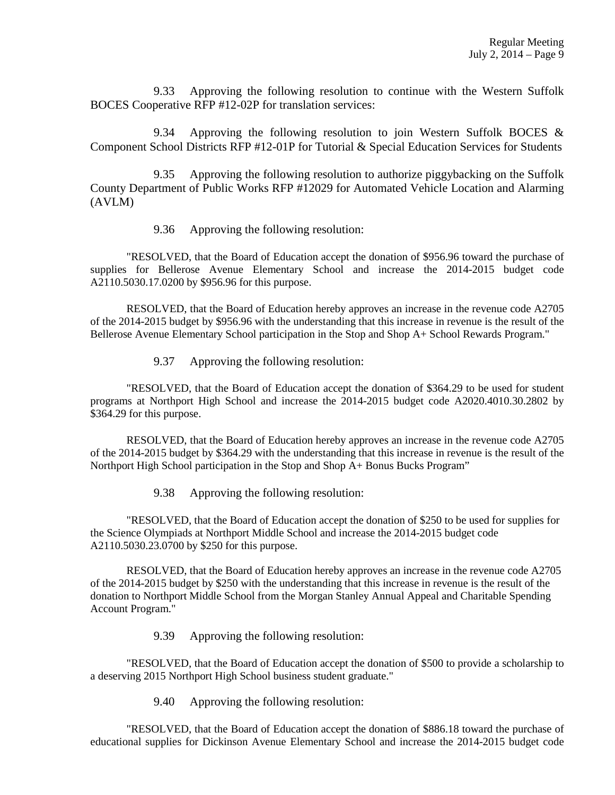9.33 Approving the following resolution to continue with the Western Suffolk BOCES Cooperative RFP #12-02P for translation services:

 9.34 Approving the following resolution to join Western Suffolk BOCES & Component School Districts RFP #12-01P for Tutorial & Special Education Services for Students

 9.35 Approving the following resolution to authorize piggybacking on the Suffolk County Department of Public Works RFP #12029 for Automated Vehicle Location and Alarming (AVLM)

9.36 Approving the following resolution:

"RESOLVED, that the Board of Education accept the donation of \$956.96 toward the purchase of supplies for Bellerose Avenue Elementary School and increase the 2014-2015 budget code A2110.5030.17.0200 by \$956.96 for this purpose.

RESOLVED, that the Board of Education hereby approves an increase in the revenue code A2705 of the 2014-2015 budget by \$956.96 with the understanding that this increase in revenue is the result of the Bellerose Avenue Elementary School participation in the Stop and Shop A+ School Rewards Program."

9.37 Approving the following resolution:

"RESOLVED, that the Board of Education accept the donation of \$364.29 to be used for student programs at Northport High School and increase the 2014-2015 budget code A2020.4010.30.2802 by \$364.29 for this purpose.

RESOLVED, that the Board of Education hereby approves an increase in the revenue code A2705 of the 2014-2015 budget by \$364.29 with the understanding that this increase in revenue is the result of the Northport High School participation in the Stop and Shop A+ Bonus Bucks Program"

9.38 Approving the following resolution:

"RESOLVED, that the Board of Education accept the donation of \$250 to be used for supplies for the Science Olympiads at Northport Middle School and increase the 2014-2015 budget code A2110.5030.23.0700 by \$250 for this purpose.

RESOLVED, that the Board of Education hereby approves an increase in the revenue code A2705 of the 2014-2015 budget by \$250 with the understanding that this increase in revenue is the result of the donation to Northport Middle School from the Morgan Stanley Annual Appeal and Charitable Spending Account Program."

9.39 Approving the following resolution:

"RESOLVED, that the Board of Education accept the donation of \$500 to provide a scholarship to a deserving 2015 Northport High School business student graduate."

9.40 Approving the following resolution:

"RESOLVED, that the Board of Education accept the donation of \$886.18 toward the purchase of educational supplies for Dickinson Avenue Elementary School and increase the 2014-2015 budget code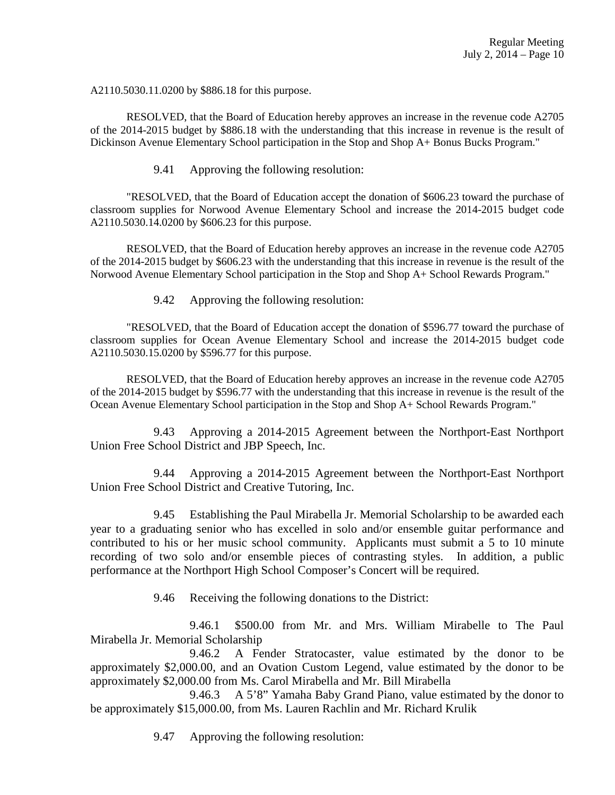A2110.5030.11.0200 by \$886.18 for this purpose.

RESOLVED, that the Board of Education hereby approves an increase in the revenue code A2705 of the 2014-2015 budget by \$886.18 with the understanding that this increase in revenue is the result of Dickinson Avenue Elementary School participation in the Stop and Shop A+ Bonus Bucks Program."

9.41 Approving the following resolution:

"RESOLVED, that the Board of Education accept the donation of \$606.23 toward the purchase of classroom supplies for Norwood Avenue Elementary School and increase the 2014-2015 budget code A2110.5030.14.0200 by \$606.23 for this purpose.

RESOLVED, that the Board of Education hereby approves an increase in the revenue code A2705 of the 2014-2015 budget by \$606.23 with the understanding that this increase in revenue is the result of the Norwood Avenue Elementary School participation in the Stop and Shop A+ School Rewards Program."

9.42 Approving the following resolution:

"RESOLVED, that the Board of Education accept the donation of \$596.77 toward the purchase of classroom supplies for Ocean Avenue Elementary School and increase the 2014-2015 budget code A2110.5030.15.0200 by \$596.77 for this purpose.

RESOLVED, that the Board of Education hereby approves an increase in the revenue code A2705 of the 2014-2015 budget by \$596.77 with the understanding that this increase in revenue is the result of the Ocean Avenue Elementary School participation in the Stop and Shop A+ School Rewards Program."

 9.43 Approving a 2014-2015 Agreement between the Northport-East Northport Union Free School District and JBP Speech, Inc.

 9.44 Approving a 2014-2015 Agreement between the Northport-East Northport Union Free School District and Creative Tutoring, Inc.

 9.45 Establishing the Paul Mirabella Jr. Memorial Scholarship to be awarded each year to a graduating senior who has excelled in solo and/or ensemble guitar performance and contributed to his or her music school community. Applicants must submit a 5 to 10 minute recording of two solo and/or ensemble pieces of contrasting styles. In addition, a public performance at the Northport High School Composer's Concert will be required.

9.46 Receiving the following donations to the District:

 9.46.1 \$500.00 from Mr. and Mrs. William Mirabelle to The Paul Mirabella Jr. Memorial Scholarship

 9.46.2 A Fender Stratocaster, value estimated by the donor to be approximately \$2,000.00, and an Ovation Custom Legend, value estimated by the donor to be approximately \$2,000.00 from Ms. Carol Mirabella and Mr. Bill Mirabella

 9.46.3 A 5'8" Yamaha Baby Grand Piano, value estimated by the donor to be approximately \$15,000.00, from Ms. Lauren Rachlin and Mr. Richard Krulik

9.47 Approving the following resolution: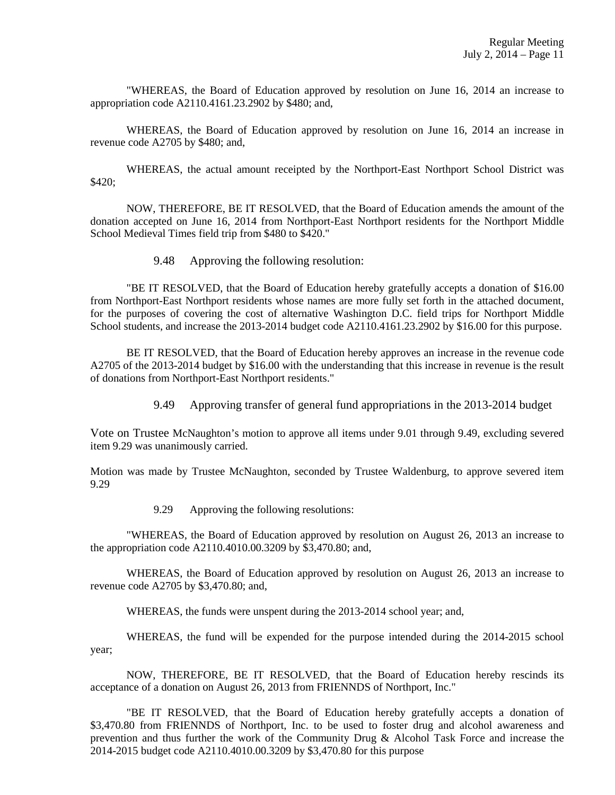"WHEREAS, the Board of Education approved by resolution on June 16, 2014 an increase to appropriation code A2110.4161.23.2902 by \$480; and,

WHEREAS, the Board of Education approved by resolution on June 16, 2014 an increase in revenue code A2705 by \$480; and,

WHEREAS, the actual amount receipted by the Northport-East Northport School District was \$420;

NOW, THEREFORE, BE IT RESOLVED, that the Board of Education amends the amount of the donation accepted on June 16, 2014 from Northport-East Northport residents for the Northport Middle School Medieval Times field trip from \$480 to \$420."

9.48 Approving the following resolution:

"BE IT RESOLVED, that the Board of Education hereby gratefully accepts a donation of \$16.00 from Northport-East Northport residents whose names are more fully set forth in the attached document, for the purposes of covering the cost of alternative Washington D.C. field trips for Northport Middle School students, and increase the 2013-2014 budget code A2110.4161.23.2902 by \$16.00 for this purpose.

BE IT RESOLVED, that the Board of Education hereby approves an increase in the revenue code A2705 of the 2013-2014 budget by \$16.00 with the understanding that this increase in revenue is the result of donations from Northport-East Northport residents."

9.49 Approving transfer of general fund appropriations in the 2013-2014 budget

Vote on Trustee McNaughton's motion to approve all items under 9.01 through 9.49, excluding severed item 9.29 was unanimously carried.

Motion was made by Trustee McNaughton, seconded by Trustee Waldenburg, to approve severed item 9.29

9.29 Approving the following resolutions:

 "WHEREAS, the Board of Education approved by resolution on August 26, 2013 an increase to the appropriation code A2110.4010.00.3209 by \$3,470.80; and,

 WHEREAS, the Board of Education approved by resolution on August 26, 2013 an increase to revenue code A2705 by \$3,470.80; and,

WHEREAS, the funds were unspent during the 2013-2014 school year; and,

 WHEREAS, the fund will be expended for the purpose intended during the 2014-2015 school year;

 NOW, THEREFORE, BE IT RESOLVED, that the Board of Education hereby rescinds its acceptance of a donation on August 26, 2013 from FRIENNDS of Northport, Inc."

 "BE IT RESOLVED, that the Board of Education hereby gratefully accepts a donation of \$3,470.80 from FRIENNDS of Northport, Inc. to be used to foster drug and alcohol awareness and prevention and thus further the work of the Community Drug & Alcohol Task Force and increase the 2014-2015 budget code A2110.4010.00.3209 by \$3,470.80 for this purpose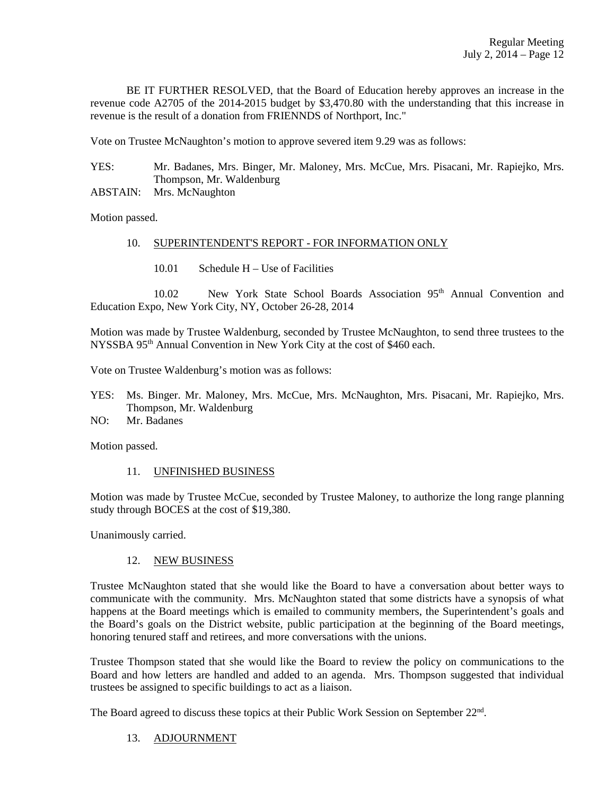BE IT FURTHER RESOLVED, that the Board of Education hereby approves an increase in the revenue code A2705 of the 2014-2015 budget by \$3,470.80 with the understanding that this increase in revenue is the result of a donation from FRIENNDS of Northport, Inc."

Vote on Trustee McNaughton's motion to approve severed item 9.29 was as follows:

| YES: | Mr. Badanes, Mrs. Binger, Mr. Maloney, Mrs. McCue, Mrs. Pisacani, Mr. Rapiejko, Mrs. |
|------|--------------------------------------------------------------------------------------|
|      | Thompson, Mr. Waldenburg                                                             |

ABSTAIN: Mrs. McNaughton

Motion passed.

# 10. SUPERINTENDENT'S REPORT - FOR INFORMATION ONLY

10.01 Schedule H – Use of Facilities

10.02 New York State School Boards Association 95th Annual Convention and Education Expo, New York City, NY, October 26-28, 2014

Motion was made by Trustee Waldenburg, seconded by Trustee McNaughton, to send three trustees to the NYSSBA 95th Annual Convention in New York City at the cost of \$460 each.

Vote on Trustee Waldenburg's motion was as follows:

- YES: Ms. Binger. Mr. Maloney, Mrs. McCue, Mrs. McNaughton, Mrs. Pisacani, Mr. Rapiejko, Mrs. Thompson, Mr. Waldenburg
- NO: Mr. Badanes

Motion passed.

# 11. UNFINISHED BUSINESS

Motion was made by Trustee McCue, seconded by Trustee Maloney, to authorize the long range planning study through BOCES at the cost of \$19,380.

Unanimously carried.

### 12. NEW BUSINESS

Trustee McNaughton stated that she would like the Board to have a conversation about better ways to communicate with the community. Mrs. McNaughton stated that some districts have a synopsis of what happens at the Board meetings which is emailed to community members, the Superintendent's goals and the Board's goals on the District website, public participation at the beginning of the Board meetings, honoring tenured staff and retirees, and more conversations with the unions.

Trustee Thompson stated that she would like the Board to review the policy on communications to the Board and how letters are handled and added to an agenda. Mrs. Thompson suggested that individual trustees be assigned to specific buildings to act as a liaison.

The Board agreed to discuss these topics at their Public Work Session on September 22<sup>nd</sup>.

# 13. ADJOURNMENT